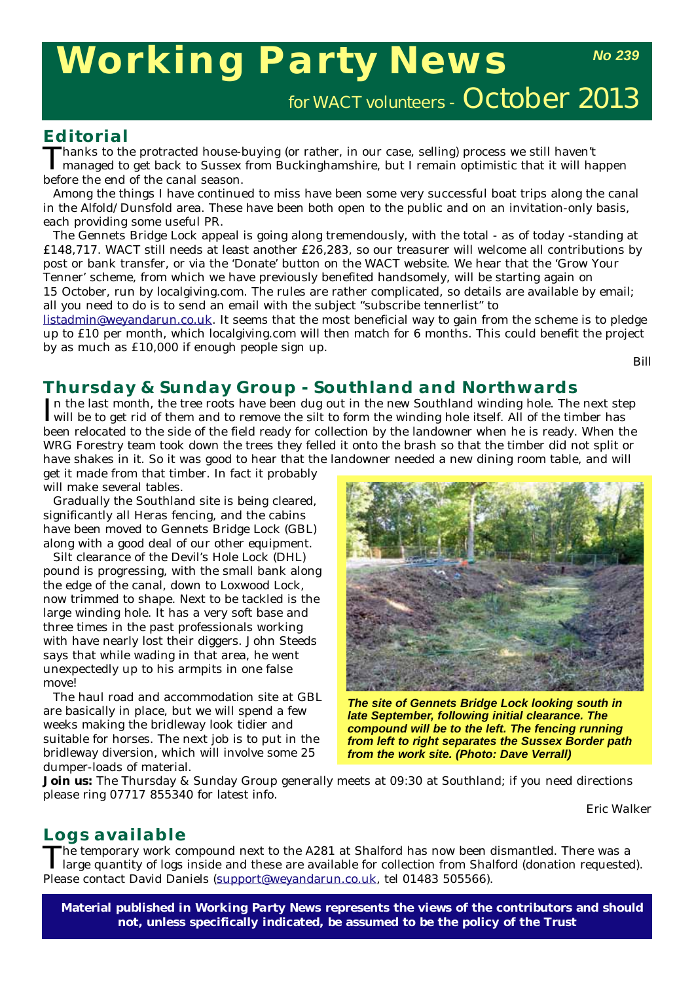# **Working Party News**

for WACT volunteers - October 2013

#### **Editorial**

Thanks to the protracted house-buying (or rather, in our case, selling) process we still haven't  $\boldsymbol{1}$  managed to get back to Sussex from Buckinghamshire, but I remain optimistic that it will happen before the end of the canal season.

Among the things I have continued to miss have been some very successful boat trips along the canal in the Alfold/Dunsfold area. These have been both open to the public and on an invitation-only basis, each providing some useful PR.

The Gennets Bridge Lock appeal is going along tremendously, with the total - as of today -standing at £148,717. WACT still needs at least another £26,283, so our treasurer will welcome all contributions by post or bank transfer, or via the 'Donate' button on the WACT website. We hear that the 'Grow Your Tenner' scheme, from which we have previously benefited handsomely, will be starting again on 15 October, run by localgiving.com. The rules are rather complicated, so details are available by email; all you need to do is to send an email with the subject "subscribe tennerlist" to

listadmin@weyandarun.co.uk. It seems that the most beneficial way to gain from the scheme is to pledge up to £10 per month, which localgiving.com will then match for 6 months. This could benefit the project by as much as £10,000 if enough people sign up.

*Bill*

## **Thursday & Sunday Group - Southland and Northwards**

In the last month, the tree roots have been dug out in the new Southland winding hole. The next ste will be to get rid of them and to remove the silt to form the winding hole itself. All of the timber has In the last month, the tree roots have been dug out in the new Southland winding hole. The next step been relocated to the side of the field ready for collection by the landowner when he is ready. When the WRG Forestry team took down the trees they felled it onto the brash so that the timber did not split or have shakes in it. So it was good to hear that the landowner needed a new dining room table, and will

get it made from that timber. In fact it probably will make several tables.

Gradually the Southland site is being cleared, significantly all Heras fencing, and the cabins have been moved to Gennets Bridge Lock (GBL) along with a good deal of our other equipment.

Silt clearance of the Devil's Hole Lock (DHL) pound is progressing, with the small bank along the edge of the canal, down to Loxwood Lock, now trimmed to shape. Next to be tackled is the large winding hole. It has a very soft base and three times in the past professionals working with have nearly lost their diggers. John Steeds says that while wading in that area, he went unexpectedly up to his armpits in one false move!

The haul road and accommodation site at GBL are basically in place, but we will spend a few weeks making the bridleway look tidier and suitable for horses. The next job is to put in the bridleway diversion, which will involve some 25 dumper-loads of material.



*The site of Gennets Bridge Lock looking south in late September, following initial clearance. The compound will be to the left. The fencing running from left to right separates the Sussex Border path from the work site. (Photo: Dave Verrall)* 

**Join us:** The Thursday & Sunday Group generally meets at 09:30 at Southland; if you need directions please ring 07717 855340 for latest info.

*Eric Walker*

#### **Logs available**

The temporary work compound next to the A281 at Shalford has now been dismantled. There was a large quantity of logs inside and these are available for collection from Shalford (donation requested). Please contact David Daniels (support@weyandarun.co.uk, tel 01483 505566).

**Material published in** *Working Party News* **represents the views of the contributors and should not, unless specifically indicated, be assumed to be the policy of the Trust**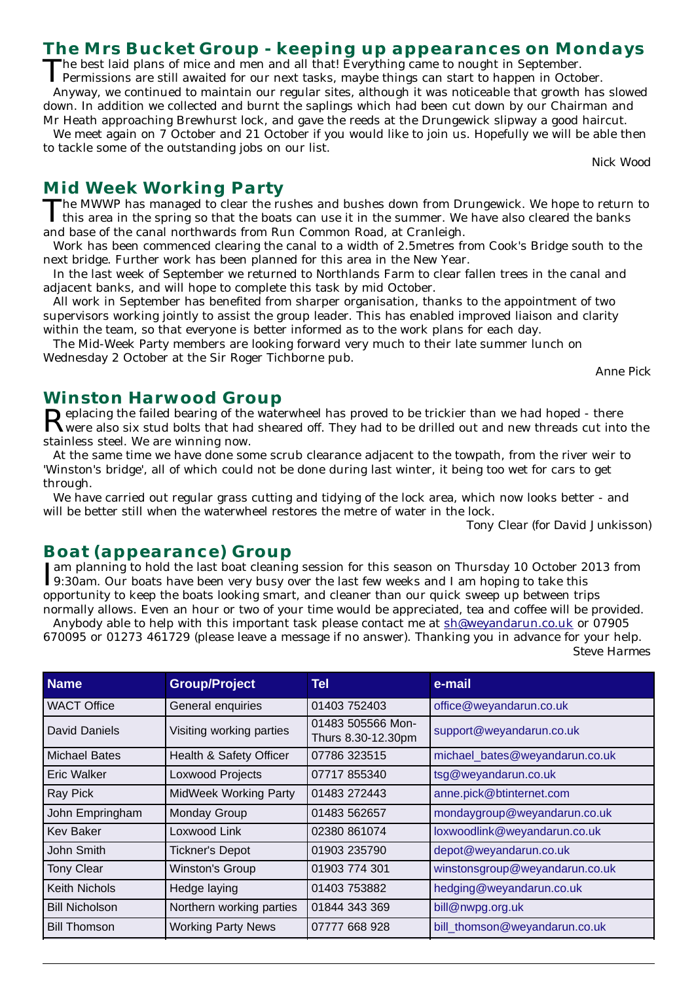# **The Mrs Bucket Group - keeping up appearances on Mondays**

The best laid plans of mice and men and all that! Everything came to nought in September.<br>Permissions are still awaited for our next tasks, maybe things can start to happen in October.

Anyway, we continued to maintain our regular sites, although it was noticeable that growth has slowed down. In addition we collected and burnt the saplings which had been cut down by our Chairman and Mr Heath approaching Brewhurst lock, and gave the reeds at the Drungewick slipway a good haircut.

We meet again on 7 October and 21 October if you would like to join us. Hopefully we will be able then to tackle some of the outstanding jobs on our list.

*Nick Wood*

**Mid Week Working Party**<br>
The MWWP has managed to clear the rushes and bushes down from Drungewick. We hope to return to The MWWP has managed to clear the rushes and bushes down from Drungewick. We hope to return to this area in the spring so that the boats can use it in the summer. We have also cleared the banks and base of the canal northwards from Run Common Road, at Cranleigh.

Work has been commenced clearing the canal to a width of 2.5metres from Cook's Bridge south to the next bridge. Further work has been planned for this area in the New Year.

In the last week of September we returned to Northlands Farm to clear fallen trees in the canal and adjacent banks, and will hope to complete this task by mid October.

All work in September has benefited from sharper organisation, thanks to the appointment of two supervisors working jointly to assist the group leader. This has enabled improved liaison and clarity within the team, so that everyone is better informed as to the work plans for each day.

The Mid-Week Party members are looking forward very much to their late summer lunch on Wednesday 2 October at the Sir Roger Tichborne pub.

*Anne Pick*

# **Winston Harwood Group**

Replacing the failed bearing of the waterwheel has proved to be trickier than we had hoped - there were also six stud bolts that had sheared off. They had to be drilled out and new threads cut into the stainless steel. We are winning now.

At the same time we have done some scrub clearance adjacent to the towpath, from the river weir to 'Winston's bridge', all of which could not be done during last winter, it being too wet for cars to get through.

We have carried out regular grass cutting and tidying of the lock area, which now looks better - and will be better still when the waterwheel restores the metre of water in the lock.

*Tony Clear (for David Junkisson)*

# **Boat (appearance) Group**

Iam planning to hold the last boat cleaning session for this season on Thursday 10 October 2013 from<br>19:30am. Our boats have been very busy over the last few weeks and I am hoping to take this 9:30am. Our boats have been very busy over the last few weeks and I am hoping to take this opportunity to keep the boats looking smart, and cleaner than our quick sweep up between trips normally allows. Even an hour or two of your time would be appreciated, tea and coffee will be provided.

Anybody able to help with this important task please contact me at sh@weyandarun.co.uk or 07905 670095 or 01273 461729 (please leave a message if no answer). Thanking you in advance for your help.

*Steve Harmes*

| <b>Name</b>           | <b>Group/Project</b>         | <b>Tel</b>                              | e-mail                         |
|-----------------------|------------------------------|-----------------------------------------|--------------------------------|
| <b>WACT Office</b>    | General enquiries            | 01403 752403                            | office@weyandarun.co.uk        |
| <b>David Daniels</b>  | Visiting working parties     | 01483 505566 Mon-<br>Thurs 8.30-12.30pm | support@weyandarun.co.uk       |
| <b>Michael Bates</b>  | Health & Safety Officer      | 07786 323515                            | michael_bates@weyandarun.co.uk |
| Eric Walker           | Loxwood Projects             | 07717 855340                            | tsg@weyandarun.co.uk           |
| Ray Pick              | <b>MidWeek Working Party</b> | 01483 272443                            | anne.pick@btinternet.com       |
| John Empringham       | Monday Group                 | 01483 562657                            | mondaygroup@weyandarun.co.uk   |
| Kev Baker             | Loxwood Link                 | 02380 861074                            | loxwoodlink@weyandarun.co.uk   |
| John Smith            | <b>Tickner's Depot</b>       | 01903 235790                            | depot@weyandarun.co.uk         |
| <b>Tony Clear</b>     | <b>Winston's Group</b>       | 01903 774 301                           | winstonsgroup@weyandarun.co.uk |
| <b>Keith Nichols</b>  | Hedge laying                 | 01403 753882                            | hedging@weyandarun.co.uk       |
| <b>Bill Nicholson</b> | Northern working parties     | 01844 343 369                           | bill@nwpg.org.uk               |
| <b>Bill Thomson</b>   | <b>Working Party News</b>    | 07777 668 928                           | bill_thomson@weyandarun.co.uk  |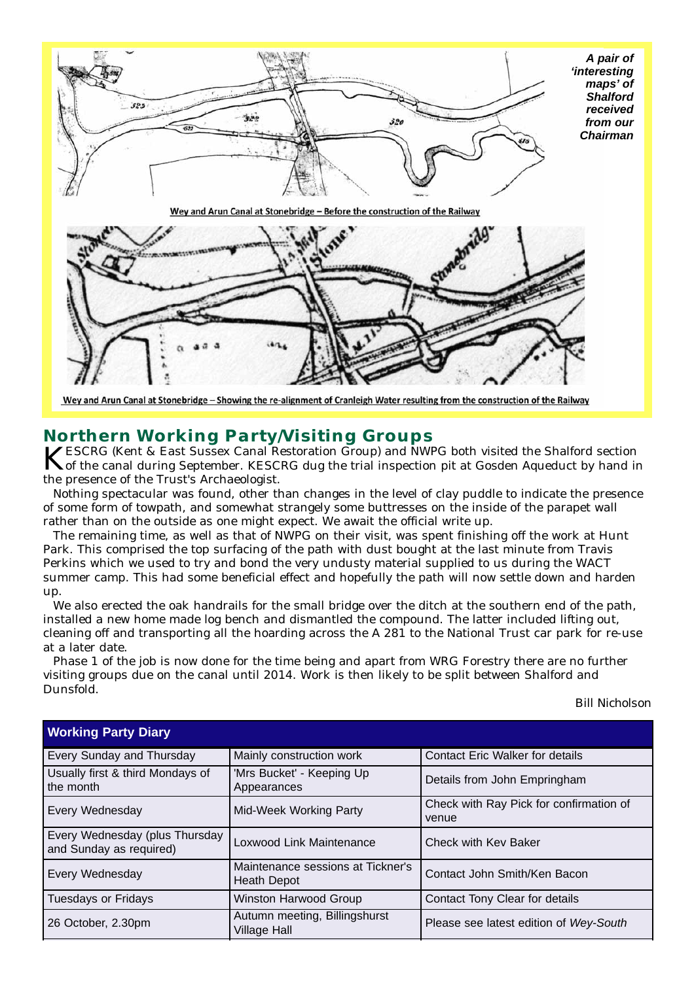

```
Wey and Arun Canal at Stonebridge - Showing the re-alignment of Cranleigh Water resulting from the construction of the Railway
```
**Northern Working Party/Visiting Groups**<br>**IZESCRG** (Kent & East Sussex Canal Restoration Group) and NWPG both visited the Shalford section KESCRG (Kent & East Sussex Canal Restoration Group) and NWPG both visited the Shalford section<br>
of the canal during September. KESCRG dug the trial inspection pit at Gosden Aqueduct by hand in the presence of the Trust's Archaeologist.

Nothing spectacular was found, other than changes in the level of clay puddle to indicate the presence of some form of towpath, and somewhat strangely some buttresses on the inside of the parapet wall rather than on the outside as one might expect. We await the official write up.

The remaining time, as well as that of NWPG on their visit, was spent finishing off the work at Hunt Park. This comprised the top surfacing of the path with dust bought at the last minute from Travis Perkins which we used to try and bond the very undusty material supplied to us during the WACT summer camp. This had some beneficial effect and hopefully the path will now settle down and harden up.

We also erected the oak handrails for the small bridge over the ditch at the southern end of the path, installed a new home made log bench and dismantled the compound. The latter included lifting out, cleaning off and transporting all the hoarding across the A 281 to the National Trust car park for re-use at a later date.

Phase 1 of the job is now done for the time being and apart from WRG Forestry there are no further visiting groups due on the canal until 2014. Work is then likely to be split between Shalford and Dunsfold.

#### *Bill Nicholson*

| <b>Working Party Diary</b>                                |                                                         |                                                  |  |  |
|-----------------------------------------------------------|---------------------------------------------------------|--------------------------------------------------|--|--|
| Every Sunday and Thursday                                 | Mainly construction work                                | <b>Contact Eric Walker for details</b>           |  |  |
| Usually first & third Mondays of<br>the month             | 'Mrs Bucket' - Keeping Up<br>Appearances                | Details from John Empringham                     |  |  |
| Every Wednesday                                           | Mid-Week Working Party                                  | Check with Ray Pick for confirmation of<br>venue |  |  |
| Every Wednesday (plus Thursday<br>and Sunday as required) | Loxwood Link Maintenance                                | Check with Key Baker                             |  |  |
| Every Wednesday                                           | Maintenance sessions at Tickner's<br><b>Heath Depot</b> | Contact John Smith/Ken Bacon                     |  |  |
| Tuesdays or Fridays                                       | Winston Harwood Group                                   | Contact Tony Clear for details                   |  |  |
| 26 October, 2.30pm                                        | Autumn meeting, Billingshurst<br><b>Village Hall</b>    | Please see latest edition of Wey-South           |  |  |